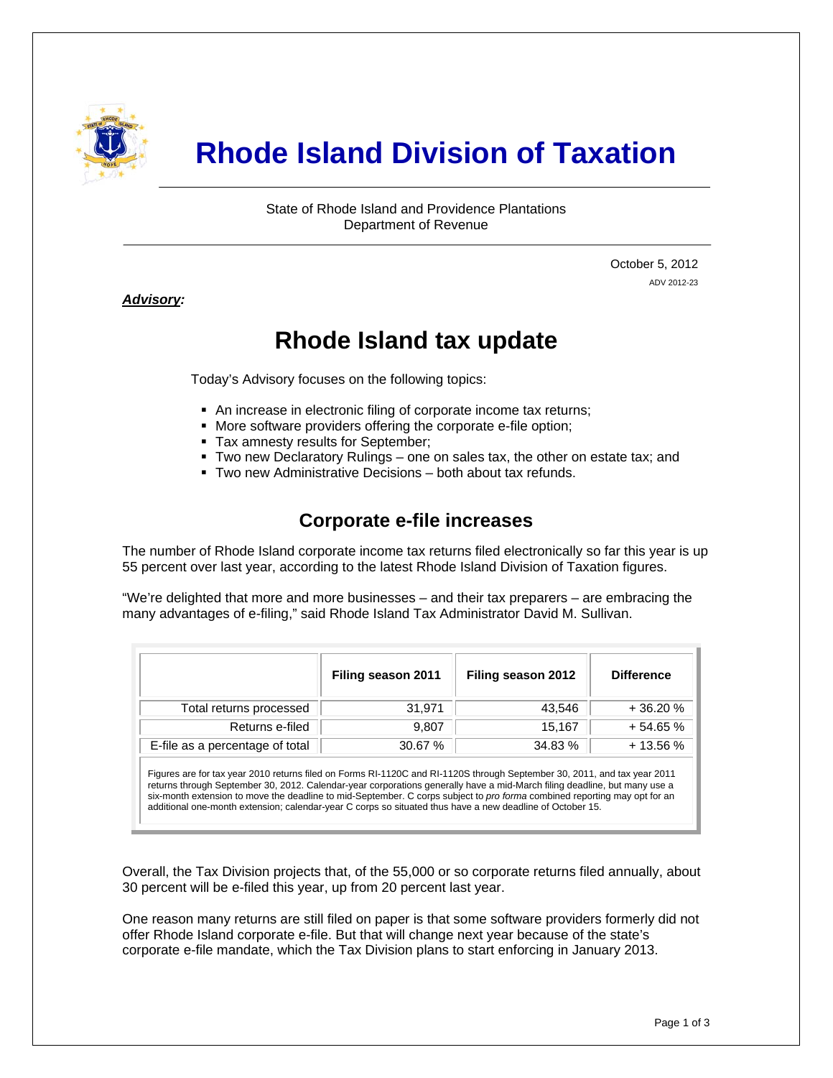

# **Rhode Island Division of Taxation**

State of Rhode Island and Providence Plantations Department of Revenue

> October 5, 2012 ADV 2012-23

#### *Advisory:*

j

## **Rhode Island tax update**

Today's Advisory focuses on the following topics:

- An increase in electronic filing of corporate income tax returns;
- More software providers offering the corporate e-file option;
- **Tax amnesty results for September;**
- Two new Declaratory Rulings one on sales tax, the other on estate tax; and
- Two new Administrative Decisions both about tax refunds.

### **Corporate e-file increases**

The number of Rhode Island corporate income tax returns filed electronically so far this year is up 55 percent over last year, according to the latest Rhode Island Division of Taxation figures.

"We're delighted that more and more businesses – and their tax preparers – are embracing the many advantages of e-filing," said Rhode Island Tax Administrator David M. Sullivan.

|                                 | Filing season 2011 | Filing season 2012 | <b>Difference</b> |
|---------------------------------|--------------------|--------------------|-------------------|
| Total returns processed         | 31,971             | 43,546             | $+36.20%$         |
| Returns e-filed                 | 9.807              | 15.167             | $+54.65%$         |
| E-file as a percentage of total | 30.67 %            | 34.83 %            | $+13.56%$         |

Figures are for tax year 2010 returns filed on Forms RI-1120C and RI-1120S through September 30, 2011, and tax year 2011 returns through September 30, 2012. Calendar-year corporations generally have a mid-March filing deadline, but many use a six-month extension to move the deadline to mid-September. C corps subject to *pro forma* combined reporting may opt for an additional one-month extension; calendar-year C corps so situated thus have a new deadline of October 15.

Overall, the Tax Division projects that, of the 55,000 or so corporate returns filed annually, about 30 percent will be e-filed this year, up from 20 percent last year.

One reason many returns are still filed on paper is that some software providers formerly did not offer Rhode Island corporate e-file. But that will change next year because of the state's corporate e-file mandate, which the Tax Division plans to start enforcing in January 2013.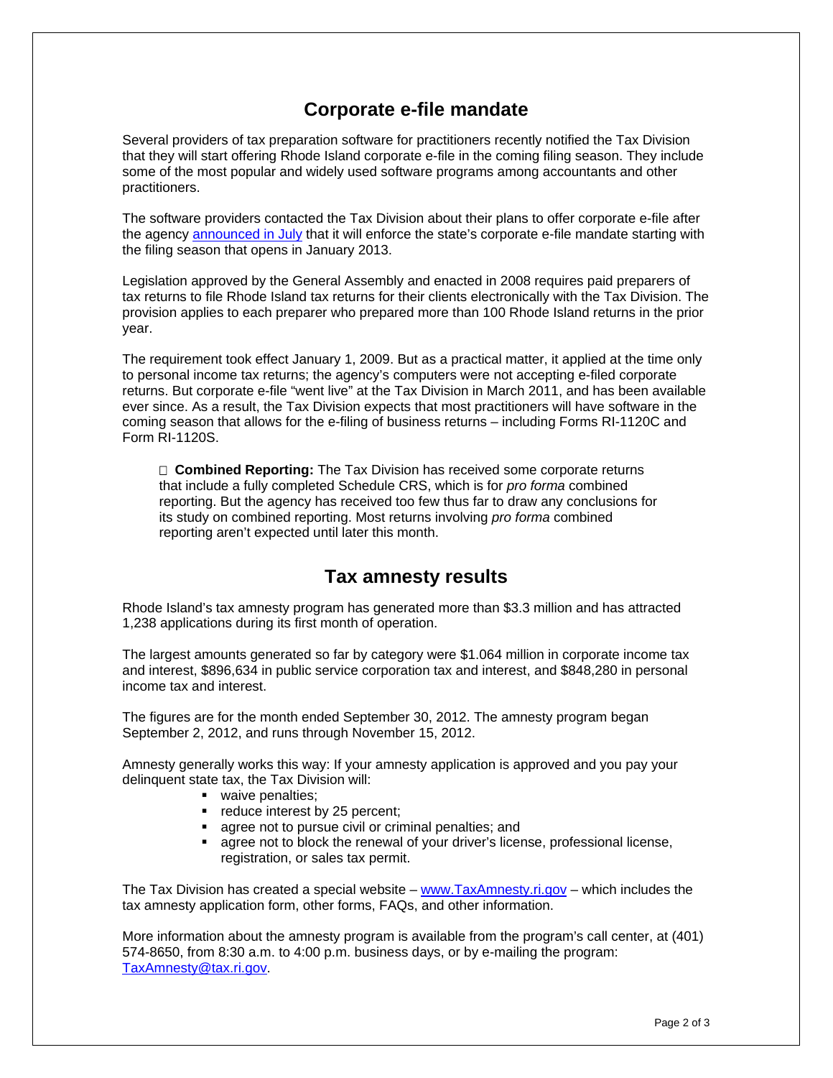### **Corporate e-file mandate**

Several providers of tax preparation software for practitioners recently notified the Tax Division that they will start offering Rhode Island corporate e-file in the coming filing season. They include some of the most popular and widely used software programs among accountants and other practitioners.

The software providers contacted the Tax Division about their plans to offer corporate e-file after the agency [announced in July](http://www.tax.ri.gov/Advisory/ADV%202012-16.pdf) that it will enforce the state's corporate e-file mandate starting with the filing season that opens in January 2013.

Legislation approved by the General Assembly and enacted in 2008 requires paid preparers of tax returns to file Rhode Island tax returns for their clients electronically with the Tax Division. The provision applies to each preparer who prepared more than 100 Rhode Island returns in the prior year.

The requirement took effect January 1, 2009. But as a practical matter, it applied at the time only to personal income tax returns; the agency's computers were not accepting e-filed corporate returns. But corporate e-file "went live" at the Tax Division in March 2011, and has been available ever since. As a result, the Tax Division expects that most practitioners will have software in the coming season that allows for the e-filing of business returns – including Forms RI-1120C and Form RI-1120S.

 **Combined Reporting:** The Tax Division has received some corporate returns that include a fully completed Schedule CRS, which is for *pro forma* combined reporting. But the agency has received too few thus far to draw any conclusions for its study on combined reporting. Most returns involving *pro forma* combined reporting aren't expected until later this month.

### **Tax amnesty results**

Rhode Island's tax amnesty program has generated more than \$3.3 million and has attracted 1,238 applications during its first month of operation.

The largest amounts generated so far by category were \$1.064 million in corporate income tax and interest, \$896,634 in public service corporation tax and interest, and \$848,280 in personal income tax and interest.

The figures are for the month ended September 30, 2012. The amnesty program began September 2, 2012, and runs through November 15, 2012.

Amnesty generally works this way: If your amnesty application is approved and you pay your delinquent state tax, the Tax Division will:

- **vaive penalties;**
- reduce interest by 25 percent;
- agree not to pursue civil or criminal penalties; and
- agree not to block the renewal of your driver's license, professional license, registration, or sales tax permit.

The Tax Division has created a special website – [www.TaxAmnesty.ri.gov](http://www.taxamnesty.ri.gov/) – which includes the tax amnesty application form, other forms, FAQs, and other information.

More information about the amnesty program is available from the program's call center, at (401) 574-8650, from 8:30 a.m. to 4:00 p.m. business days, or by e-mailing the program: [TaxAmnesty@tax.ri.gov](mailto:TaxAmnesty@tax.ri.gov).